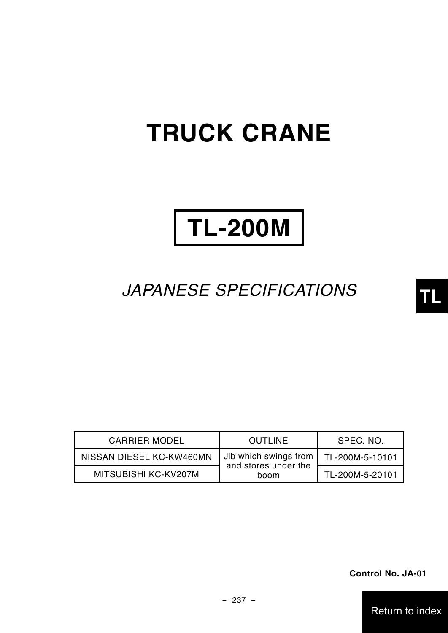# **TRUCK CRANE**

# **TL-200M**

# *JAPANESE SPECIFICATIONS*

| <b>CARRIER MODEL</b>     | <b>OUTLINE</b>                                | SPEC. NO.       |
|--------------------------|-----------------------------------------------|-----------------|
| NISSAN DIESEL KC-KW460MN | Jib which swings from<br>and stores under the | TL-200M-5-10101 |
| MITSUBISHI KC-KV207M     | boom                                          | TL-200M-5-20101 |

**Control No. JA-01**

Return to Return to index

**TL**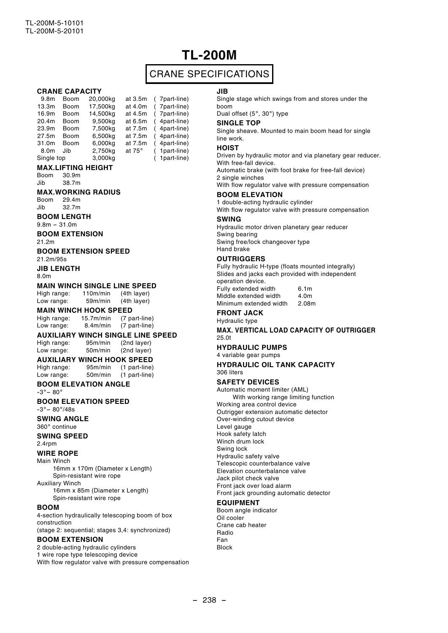# **TL-200M**

## CRANE SPECIFICATIONS

**CRANE CAPACITY**<br>9.8m Boom 20,000kg 9.8m Boom 20,000kg at 3.5m ( 7part-line) 13.3m Boom 17,500kg at 4.0m (7part-line)<br>16.9m Boom 14.500kg at 4.5m (7part-line)  $14,500kg$  at 4.5m<br>9,500kg at 6.5m 20.4m Boom 9,500kg at 6.5m ( 4part-line) 23.9m Boom 7,500kg at 7.5m ( 4part-line)  $27.5m$  Boom 6,500kg at 7.5m ( 31.0m Boom 6,000kg at 7.5m ( 4part-line) 8.0m Jib 2,750kg at 75° (<br>Single top 3.000kg  $($  1part-line) **MAX.LIFTING HEIGHT** Boom 30.9m<br>Jib 38.7m 38.7m **MAX.WORKING RADIUS** Boom 29.4m<br>lib 32.7m 32.7m **BOOM LENGTH**  $9.8m - 31.0m$ **BOOM EXTENSION** 21.2m **BOOM EXTENSION SPEED** 21.2m/95s **JIB LENGTH** 8.0m **MAIN WINCH SINGLE LINE SPEED**<br>High range: 110m/min (4th laver) High range: Low range: 59m/min (4th layer) **MAIN WINCH HOOK SPEED**<br>High range: 15.7m/min (7 pa Hom (7 part-line)<br>8.4m/min (7 part-line) Low range: 8.4m/min (7 part-line) **AUXILIARY WINCH SINGLE LINE SPEED** High range:

Low range: 50m/min (2nd layer) **AUXILIARY WINCH HOOK SPEED**<br>High range: 95m/min (1 part-line)

(1 part-line)

Low range: 50m/min (1 part-line)

#### **BOOM ELEVATION ANGLE**

 $-3^\circ - 80^\circ$ 

**BOOM ELEVATION SPEED**  $-3^{\circ} - 80^{\circ}/48s$ 

**SWING ANGLE**

360°continue

**SWING SPEED** 2.4rpm

#### **WIRE ROPE**

Main Winch

16mm x 170m (Diameter x Length) Spin-resistant wire rope Auxiliary Winch

16mm x 85m (Diameter x Length) Spin-resistant wire rope

#### **BOOM**

4-section hydraulically telescoping boom of box construction (stage 2: sequential; stages 3,4: synchronized)

#### **BOOM EXTENSION**

2 double-acting hydraulic cylinders

1 wire rope type telescoping device With flow regulator valve with pressure compensation

#### **JIB**

Single stage which swings from and stores under the boom

Dual offset (5°, 30°) type

#### **SINGLE TOP**

Single sheave. Mounted to main boom head for single line work.

#### **HOIST**

Driven by hydraulic motor and via planetary gear reducer. With free-fall device.

Automatic brake (with foot brake for free-fall device) 2 single winches

With flow regulator valve with pressure compensation **BOOM ELEVATION**

#### 1 double-acting hydraulic cylinder

With flow regulator valve with pressure compensation

#### **SWING**

Hydraulic motor driven planetary gear reducer Swing bearing Swing free/lock changeover type Hand brake

#### **OUTRIGGERS**

Fully hydraulic H-type (floats mounted integrally) Slides and jacks each provided with independent operation device. Fully extended width 6.1m

| Middle extended width  | 4.0m  |
|------------------------|-------|
| Minimum extended width | 2.08m |

## **FRONT JACK**

Hydraulic type

#### **MAX. VERTICAL LOAD CAPACITY OF OUTRIGGER** 25.0t

**HYDRAULIC PUMPS**

#### 4 variable gear pumps

**HYDRAULIC OIL TANK CAPACITY** 306 liters

#### **SAFETY DEVICES**

Automatic moment limiter (AML) With working range limiting function Working area control device Outrigger extension automatic detector Over-winding cutout device

Level gauge

Hook safety latch

Winch drum lock

Swing lock

Hydraulic safety valve Telescopic counterbalance valve

Elevation counterbalance valve

Jack pilot check valve

Front jack over load alarm

Front jack grounding automatic detector

### **EQUIPMENT**

Boom angle indicator Oil cooler Crane cab heater Radio Fan Block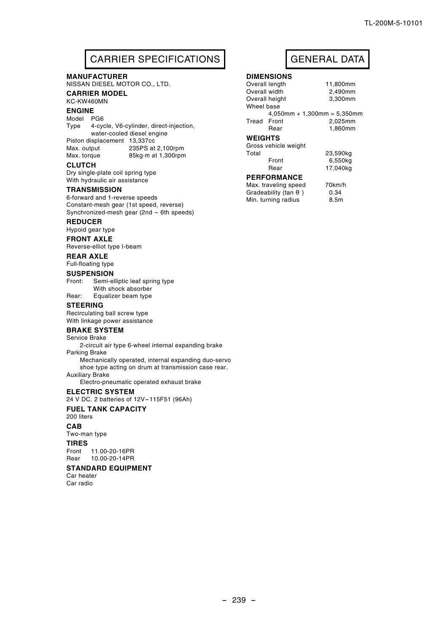## CARRIER SPECIFICATIONS | GENERAL DATA

#### **MANUFACTURER**

NISSAN DIESEL MOTOR CO., LTD.

#### **CARRIER MODEL**

KC-KW460MN

#### **ENGINE**

Model PG6

Type 4-cycle, V6-cylinder, direct-injection, water-cooled diesel engine Piston displacement 13,337cc<br>Max. output 235PS at 235PS at 2,100rpm Max. torque 85kg m at 1,300rpm

#### **CLUTCH**

Dry single-plate coil spring type With hydraulic air assistance

#### **TRANSMISSION**

6-forward and 1-reverse speeds Constant-mesh gear (1st speed, reverse) Synchronized-mesh gear (2nd - 6th speeds)

#### **REDUCER**

Hypoid gear type

**FRONT AXLE**

Reverse-elliot type I-beam

#### **REAR AXLE** Full-floating type

**SUSPENSION**

Front: Semi-elliptic leaf spring type With shock absorber Rear: Equalizer beam type

#### **STEERING**

Recirculating ball screw type With linkage power assistance

#### **BRAKE SYSTEM**

Service Brake

2-circuit air type 6-wheel internal expanding brake Parking Brake

Mechanically operated, internal expanding duo-servo shoe type acting on drum at transmission case rear. Auxiliary Brake

Electro-pneumatic operated exhaust brake

#### **ELECTRIC SYSTEM**

24 V DC. 2 batteries of 12V-115F51 (96Ah)

#### **FUEL TANK CAPACITY**

200 liters

#### **CAB**

Two-man type

#### **TIRES** Front 11.00-20-16PR

Rear 10.00-20-14PR

#### **STANDARD EQUIPMENT**

Car heater Car radio

#### **DIMENSIONS** Overall length 11,800mm

|                | Overall lehuth       | 11.000111111                   |
|----------------|----------------------|--------------------------------|
| Overall width  |                      | 2,490mm                        |
|                | Overall height       | 3,300mm                        |
| Wheel base     |                      |                                |
|                |                      | $4,050$ mm + 1,300mm = 5,350mm |
| Tread Front    |                      | 2,025mm                        |
|                | Rear                 | 1,860mm                        |
| <b>WEIGHTS</b> |                      |                                |
|                | Gross vehicle weight |                                |
| Total          |                      | 23,590kg                       |
|                | Front                | 6,550kg                        |
|                | Rear                 | 17.040ka                       |

#### **PERFORMANCE**

| Max. traveling speed | 70km/h |
|----------------------|--------|
| Gradeability (tan    | 0.34   |
| Min. turning radius  | 8.5m   |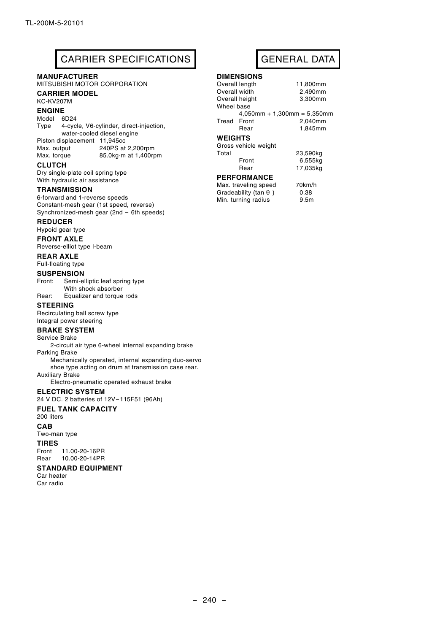# CARRIER SPECIFICATIONS GENERAL DATA

#### **MANUFACTURER**

MITSUBISHI MOTOR CORPORATION

#### **CARRIER MODEL**

KC-KV207M

#### **ENGINE**

#### Model 6D24

Type 4-cycle, V6-cylinder, direct-injection, water-cooled diesel engine Piston displacement 11,945cc<br>Max. output 240PS at 240PS at 2,200rpm

Max. torque 85.0kg.m at 1,400rpm

### **CLUTCH**

Dry single-plate coil spring type With hydraulic air assistance

#### **TRANSMISSION**

6-forward and 1-reverse speeds Constant-mesh gear (1st speed, reverse) Synchronized-mesh gear (2nd - 6th speeds)

#### **REDUCER**

Hypoid gear type

**FRONT AXLE** Reverse-elliot type I-beam

#### **REAR AXLE**

Full-floating type

#### **SUSPENSION**

Front: Semi-elliptic leaf spring type With shock absorber Rear: Equalizer and torque rods

#### **STEERING**

Recirculating ball screw type Integral power steering

#### **BRAKE SYSTEM**

Service Brake

2-circuit air type 6-wheel internal expanding brake Parking Brake

Mechanically operated, internal expanding duo-servo shoe type acting on drum at transmission case rear. Auxiliary Brake

Electro-pneumatic operated exhaust brake

#### **ELECTRIC SYSTEM**

24 V DC. 2 batteries of 12V-115F51 (96Ah)

#### **FUEL TANK CAPACITY**

200 liters

#### **CAB**

Two-man type

**TIRES** Front 11.00-20-16PR Rear 10.00-20-14PR

#### **STANDARD EQUIPMENT**

Car heater Car radio

## **DIMENSIONS**

|                | Overall length       | 11,800mm                       |
|----------------|----------------------|--------------------------------|
| Overall width  |                      | 2,490mm                        |
|                | Overall height       | 3,300mm                        |
| Wheel base     |                      |                                |
|                |                      | $4,050$ mm + 1,300mm = 5,350mm |
| Tread Front    |                      | 2,040mm                        |
|                | Rear                 | 1,845mm                        |
| <b>WEIGHTS</b> |                      |                                |
|                | Gross vehicle weight |                                |
| Total          |                      | 23,590kg                       |
|                | Front                | 6,555kg                        |
|                | Rear                 | 17.035kg                       |
|                | <b>PERFORMANCE</b>   |                                |

**PERFORMANCE**<br>Max\_traveling\_spee

| Max. traveling speed | 70km/h           |
|----------------------|------------------|
| Gradeability (tan    | 0.38             |
| Min. turning radius  | 9.5 <sub>m</sub> |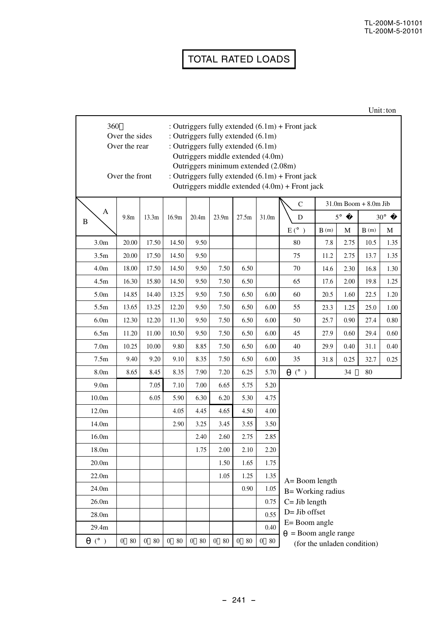#### TL-200M-5-10101 TL-200M-5-20101

# TOTAL RATED LOADS

| 360<br>: Outriggers fully extended $(6.1m)$ + Front jack<br>Over the sides<br>: Outriggers fully extended (6.1m)<br>Over the rear<br>: Outriggers fully extended (6.1m)<br>Outriggers middle extended (4.0m)<br>Outriggers minimum extended (2.08m)<br>Over the front<br>: Outriggers fully extended $(6.1m)$ + Front jack<br>Outriggers middle extended (4.0m) + Front jack |                    |                        |                        |                      |                        |                        |                      |                                                   |      |             |                           |            |
|------------------------------------------------------------------------------------------------------------------------------------------------------------------------------------------------------------------------------------------------------------------------------------------------------------------------------------------------------------------------------|--------------------|------------------------|------------------------|----------------------|------------------------|------------------------|----------------------|---------------------------------------------------|------|-------------|---------------------------|------------|
|                                                                                                                                                                                                                                                                                                                                                                              |                    |                        |                        |                      |                        |                        |                      | C                                                 |      |             | $31.0m$ Boom $+ 8.0m$ Jib |            |
| A<br>B                                                                                                                                                                                                                                                                                                                                                                       | 9.8 <sub>m</sub>   | 13.3m                  | 16.9m                  | 20.4m                | 23.9m                  | 27.5m                  | 31.0m                | D                                                 |      | $5^{\circ}$ |                           | $30^\circ$ |
|                                                                                                                                                                                                                                                                                                                                                                              |                    |                        |                        |                      |                        |                        |                      | $E(^{\circ})$                                     | B(m) | М           | B(m)                      | M          |
| 3.0 <sub>m</sub>                                                                                                                                                                                                                                                                                                                                                             | 20.00              | 17.50                  | 14.50                  | 9.50                 |                        |                        |                      | 80                                                | 7.8  | 2.75        | 10.5                      | 1.35       |
| 3.5 <sub>m</sub>                                                                                                                                                                                                                                                                                                                                                             | 20.00              | 17.50                  | 14.50                  | 9.50                 |                        |                        |                      | 75                                                | 11.2 | 2.75        | 13.7                      | 1.35       |
| 4.0 <sub>m</sub>                                                                                                                                                                                                                                                                                                                                                             | 18.00              | 17.50                  | 14.50                  | 9.50                 | 7.50                   | 6.50                   |                      | 70                                                | 14.6 | 2.30        | 16.8                      | 1.30       |
| 4.5m                                                                                                                                                                                                                                                                                                                                                                         | 16.30              | 15.80                  | 14.50                  | 9.50                 | 7.50                   | 6.50                   |                      | 65                                                | 17.6 | 2.00        | 19.8                      | 1.25       |
| 5.0 <sub>m</sub>                                                                                                                                                                                                                                                                                                                                                             | 14.85              | 14.40                  | 13.25                  | 9.50                 | 7.50                   | 6.50                   | 6.00                 | 60                                                | 20.5 | 1.60        | 22.5                      | 1.20       |
| 5.5m                                                                                                                                                                                                                                                                                                                                                                         | 13.65              | 13.25                  | 12.20                  | 9.50                 | 7.50                   | 6.50                   | 6.00                 | 55                                                | 23.3 | 1.25        | 25.0                      | 1.00       |
| 6.0 <sub>m</sub>                                                                                                                                                                                                                                                                                                                                                             | 12.30              | 12.20                  | 11.30                  | 9.50                 | 7.50                   | 6.50                   | 6.00                 | 50                                                | 25.7 | 0.90        | 27.4                      | 0.80       |
| 6.5m                                                                                                                                                                                                                                                                                                                                                                         | 11.20              | 11.00                  | 10.50                  | 9.50                 | 7.50                   | 6.50                   | 6.00                 | 45                                                | 27.9 | 0.60        | 29.4                      | 0.60       |
| 7.0 <sub>m</sub>                                                                                                                                                                                                                                                                                                                                                             | 10.25              | 10.00                  | 9.80                   | 8.85                 | 7.50                   | 6.50                   | 6.00                 | 40                                                | 29.9 | 0.40        | 31.1                      | 0.40       |
| 7.5m                                                                                                                                                                                                                                                                                                                                                                         | 9.40               | 9.20                   | 9.10                   | 8.35                 | 7.50                   | 6.50                   | 6.00                 | 35                                                | 31.8 | 0.25        | 32.7                      | 0.25       |
| 8.0 <sub>m</sub>                                                                                                                                                                                                                                                                                                                                                             | 8.65               | 8.45                   | 8.35                   | 7.90                 | 7.20                   | 6.25                   | 5.70                 | $(^\circ)$                                        |      | 34          | 80                        |            |
| 9.0 <sub>m</sub>                                                                                                                                                                                                                                                                                                                                                             |                    | 7.05                   | 7.10                   | 7.00                 | 6.65                   | 5.75                   | 5.20                 |                                                   |      |             |                           |            |
| 10.0 <sub>m</sub>                                                                                                                                                                                                                                                                                                                                                            |                    | 6.05                   | 5.90                   | 6.30                 | 6.20                   | 5.30                   | 4.75                 |                                                   |      |             |                           |            |
| 12.0m                                                                                                                                                                                                                                                                                                                                                                        |                    |                        | 4.05                   | 4.45                 | 4.65                   | 4.50                   | 4.00                 |                                                   |      |             |                           |            |
| 14.0m                                                                                                                                                                                                                                                                                                                                                                        |                    |                        | 2.90                   | 3.25                 | 3.45                   | 3.55                   | 3.50                 |                                                   |      |             |                           |            |
| 16.0 <sub>m</sub>                                                                                                                                                                                                                                                                                                                                                            |                    |                        |                        | 2.40                 | 2.60                   | 2.75                   | 2.85                 |                                                   |      |             |                           |            |
| 18.0m                                                                                                                                                                                                                                                                                                                                                                        |                    |                        |                        | 1.75                 | 2.00                   | 2.10                   | 2.20                 |                                                   |      |             |                           |            |
| 20.0 <sub>m</sub>                                                                                                                                                                                                                                                                                                                                                            |                    |                        |                        |                      | 1.50                   | 1.65                   | 1.75                 |                                                   |      |             |                           |            |
| 22.0 <sub>m</sub>                                                                                                                                                                                                                                                                                                                                                            |                    |                        |                        |                      | 1.05                   | 1.25                   | 1.35                 | A= Boom length                                    |      |             |                           |            |
| 24.0m                                                                                                                                                                                                                                                                                                                                                                        |                    |                        |                        |                      |                        | 0.90                   | 1.05                 | B= Working radius                                 |      |             |                           |            |
| 26.0 <sub>m</sub>                                                                                                                                                                                                                                                                                                                                                            |                    |                        |                        |                      |                        |                        | 0.75                 | $C = Jib$ length                                  |      |             |                           |            |
| 28.0m                                                                                                                                                                                                                                                                                                                                                                        |                    |                        |                        |                      |                        |                        | 0.55                 | $D = Jib$ offset                                  |      |             |                           |            |
| 29.4m                                                                                                                                                                                                                                                                                                                                                                        |                    |                        |                        |                      |                        |                        | 0.40                 | E= Boom angle                                     |      |             |                           |            |
| $(^\circ$<br>$\rightarrow$                                                                                                                                                                                                                                                                                                                                                   | $\mathbf{0}$<br>80 | $\boldsymbol{0}$<br>80 | $\boldsymbol{0}$<br>80 | $\overline{0}$<br>80 | $\boldsymbol{0}$<br>80 | $\boldsymbol{0}$<br>80 | $\overline{0}$<br>80 | = Boom angle range<br>(for the unladen condition) |      |             |                           |            |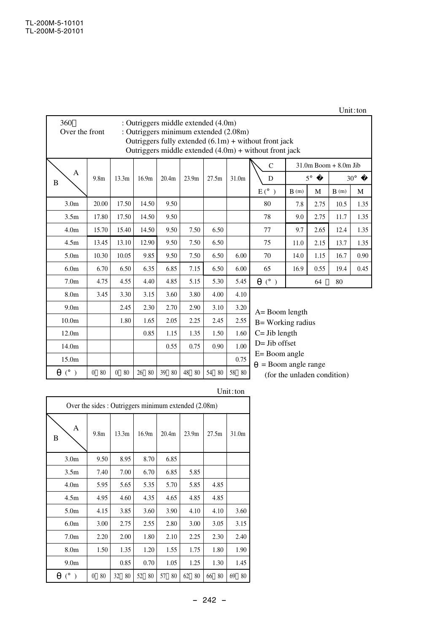### Unit:ton

| 360<br>: Outriggers middle extended (4.0m)<br>: Outriggers minimum extended (2.08m)<br>Over the front<br>Outriggers fully extended $(6.1m)$ + without front jack<br>Outriggers middle extended $(4.0m)$ + without front jack |                      |                    |                   |                   |                   |          |       |                                           |                                        |             |                           |            |
|------------------------------------------------------------------------------------------------------------------------------------------------------------------------------------------------------------------------------|----------------------|--------------------|-------------------|-------------------|-------------------|----------|-------|-------------------------------------------|----------------------------------------|-------------|---------------------------|------------|
|                                                                                                                                                                                                                              |                      |                    |                   |                   |                   |          |       | $\mathsf{C}$                              |                                        |             | $31.0m$ Boom $+ 8.0m$ Jib |            |
| A<br>B                                                                                                                                                                                                                       | 9.8 <sub>m</sub>     | 13.3m              | 16.9 <sub>m</sub> | 20.4 <sub>m</sub> | 23.9 <sub>m</sub> | 27.5m    | 31.0m | D                                         |                                        | $5^{\circ}$ |                           | $30^\circ$ |
|                                                                                                                                                                                                                              |                      |                    |                   |                   |                   |          |       | $E(^{\circ})$                             | B(m)                                   | М           | B(m)                      | M          |
| 3.0 <sub>m</sub>                                                                                                                                                                                                             | 20.00                | 17.50              | 14.50             | 9.50              |                   |          |       | 80                                        | 7.8                                    | 2.75        | 10.5                      | 1.35       |
| 3.5 <sub>m</sub>                                                                                                                                                                                                             | 17.80                | 17.50              | 14.50             | 9.50              |                   |          |       | 78                                        | 2.75<br>9.0                            |             | 11.7                      | 1.35       |
| 4.0 <sub>m</sub>                                                                                                                                                                                                             | 15.70                | 15.40              | 14.50             | 9.50              | 7.50              | 6.50     |       | 77                                        | 9.7                                    | 2.65        | 12.4                      | 1.35       |
| 4.5m                                                                                                                                                                                                                         | 13.45                | 13.10              | 12.90             | 9.50              | 7.50              | 6.50     |       | 75                                        | 11.0                                   | 2.15        | 13.7                      | 1.35       |
| 5.0 <sub>m</sub>                                                                                                                                                                                                             | 10.30                | 10.05              | 9.85              | 9.50              | 7.50              | 6.50     | 6.00  | 70                                        | 14.0                                   | 1.15        | 16.7                      | 0.90       |
| 6.0 <sub>m</sub>                                                                                                                                                                                                             | 6.70                 | 6.50               | 6.35              | 6.85              | 7.15              | 6.50     | 6.00  | 65                                        | 16.9                                   | 0.55        | 19.4                      | 0.45       |
| 7.0 <sub>m</sub>                                                                                                                                                                                                             | 4.75                 | 4.55               | 4.40              | 4.85              | 5.15              | 5.30     | 5.45  | $(^\circ)$                                |                                        | 64          | 80                        |            |
| 8.0 <sub>m</sub>                                                                                                                                                                                                             | 3.45                 | 3.30               | 3.15              | 3.60              | 3.80              | 4.00     | 4.10  |                                           |                                        |             |                           |            |
| 9.0 <sub>m</sub>                                                                                                                                                                                                             |                      | 2.45               | 2.30              | 2.70              | 2.90              | 3.10     | 3.20  |                                           |                                        |             |                           |            |
| 10.0 <sub>m</sub>                                                                                                                                                                                                            |                      | 1.80               | 1.65              | 2.05              | 2.25              | 2.45     | 2.55  | $A =$ Boom length<br>$B = Working radius$ |                                        |             |                           |            |
| 12.0m                                                                                                                                                                                                                        |                      |                    | 0.85              | 1.15              | 1.35              | 1.50     | 1.60  | $C =$ Jib length                          |                                        |             |                           |            |
| 14.0m                                                                                                                                                                                                                        |                      |                    |                   | 0.55              | 0.75              | 0.90     | 1.00  |                                           | $D = Jib$ offset                       |             |                           |            |
| 15.0m                                                                                                                                                                                                                        |                      |                    |                   |                   |                   |          | 0.75  |                                           | $E =$ Boom angle<br>= Boom angle range |             |                           |            |
| $(^\circ)$                                                                                                                                                                                                                   | 80<br>$\overline{0}$ | 80<br>$\mathbf{0}$ | 26<br>80          | 39<br>80          | 48<br>80          | 54<br>80 | 58 80 |                                           | (for the unladen condition)            |             |                           |            |

#### Unit:ton

| Over the sides: Outriggers minimum extended (2.08m) |                  |                   |                   |                   |          |          |          |  |  |  |
|-----------------------------------------------------|------------------|-------------------|-------------------|-------------------|----------|----------|----------|--|--|--|
| Α<br>B                                              | 9.8 <sub>m</sub> | 13.3 <sub>m</sub> | 16.9 <sub>m</sub> | 20.4 <sub>m</sub> | 23.9m    | 27.5m    | 31.0m    |  |  |  |
| 3.0 <sub>m</sub>                                    | 9.50             | 8.95              | 8.70              | 6.85              |          |          |          |  |  |  |
| 3.5 <sub>m</sub>                                    | 7.40             | 7.00              | 6.70              | 6.85              | 5.85     |          |          |  |  |  |
| 4.0 <sub>m</sub>                                    | 5.95             | 5.65              | 5.35              | 5.70              | 5.85     | 4.85     |          |  |  |  |
| 4.5m                                                | 4.95             | 4.60              | 4.35              | 4.65              | 4.85     | 4.85     |          |  |  |  |
| 5.0 <sub>m</sub>                                    | 4.15             | 3.85              | 3.60              | 3.90              | 4.10     | 4.10     | 3.60     |  |  |  |
| 6.0 <sub>m</sub>                                    | 3.00             | 2.75              | 2.55              | 2.80              | 3.00     | 3.05     | 3.15     |  |  |  |
| 7.0 <sub>m</sub>                                    | 2.20             | 2.00              | 1.80              | 2.10              | 2.25     | 2.30     | 2.40     |  |  |  |
| 8.0 <sub>m</sub>                                    | 1.50             | 1.35              | 1.20              | 1.55              | 1.75     | 1.80     | 1.90     |  |  |  |
| 9.0 <sub>m</sub>                                    |                  | 0.85              | 0.70              | 1.05              | 1.25     | 1.30     | 1.45     |  |  |  |
| $(^\circ)$                                          | 80<br>$\theta$   | 32<br>80          | 52<br>80          | 57<br>80          | 62<br>80 | 80<br>66 | 69<br>80 |  |  |  |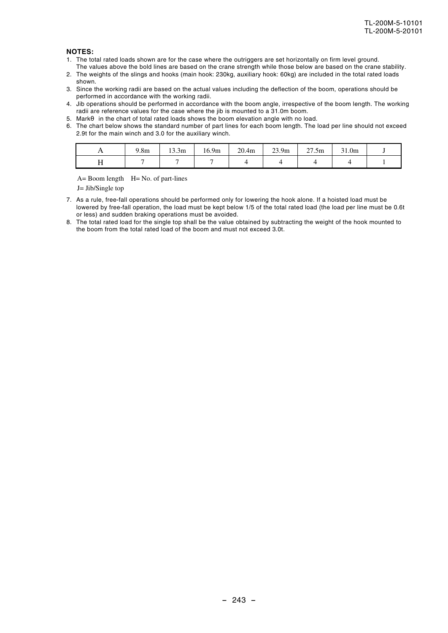#### **NOTES:**

- 1. The total rated loads shown are for the case where the outriggers are set horizontally on firm level ground.
- The values above the bold lines are based on the crane strength while those below are based on the crane stability. 2. The weights of the slings and hooks (main hook: 230kg, auxiliary hook: 60kg) are included in the total rated loads shown.
- 3. Since the working radii are based on the actual values including the deflection of the boom, operations should be performed in accordance with the working radii.
- 4. Jib operations should be performed in accordance with the boom angle, irrespective of the boom length. The working radii are reference values for the case where the jib is mounted to a 31.0m boom.
- 5. Mark in the chart of total rated loads shows the boom elevation angle with no load.
- 6. The chart below shows the standard number of part lines for each boom length. The load per line should not exceed 2.9t for the main winch and 3.0 for the auxiliary winch.

| $\sim$<br>1.0III | 13.3 <sub>m</sub> | 16.9 <sub>m</sub> | 20.4 <sub>m</sub> | 23.9 <sub>m</sub> | 27.5m | 21.0m |  |
|------------------|-------------------|-------------------|-------------------|-------------------|-------|-------|--|
|                  |                   |                   |                   |                   |       |       |  |

 $A=$  Boom length  $H=$  No. of part-lines

J= Jib/Single top

- 7. As a rule, free-fall operations should be performed only for lowering the hook alone. If a hoisted load must be lowered by free-fall operation, the load must be kept below 1/5 of the total rated load (the load per line must be 0.6t or less) and sudden braking operations must be avoided.
- 8. The total rated load for the single top shall be the value obtained by subtracting the weight of the hook mounted to the boom from the total rated load of the boom and must not exceed 3.0t.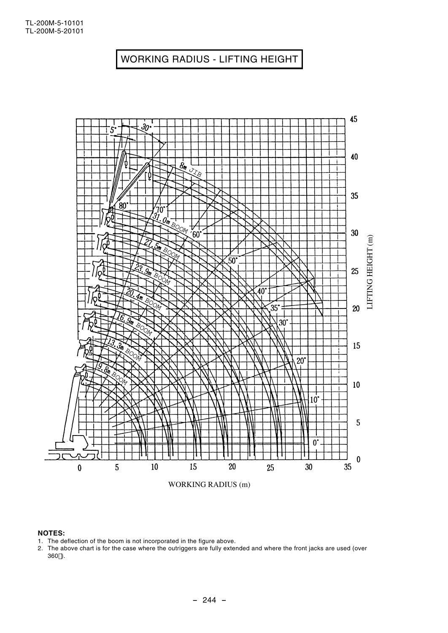

#### **NOTES:**

- 1. The deflection of the boom is not incorporated in the figure above.
- 2. The above chart is for the case where the outriggers are fully extended and where the front jacks are used (over 360 ).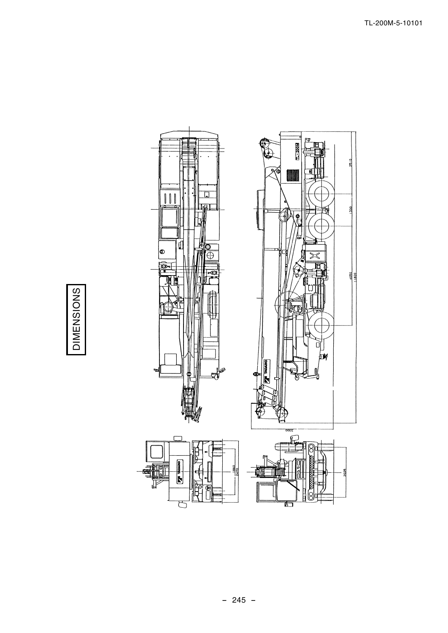

**DIMENSIONS**